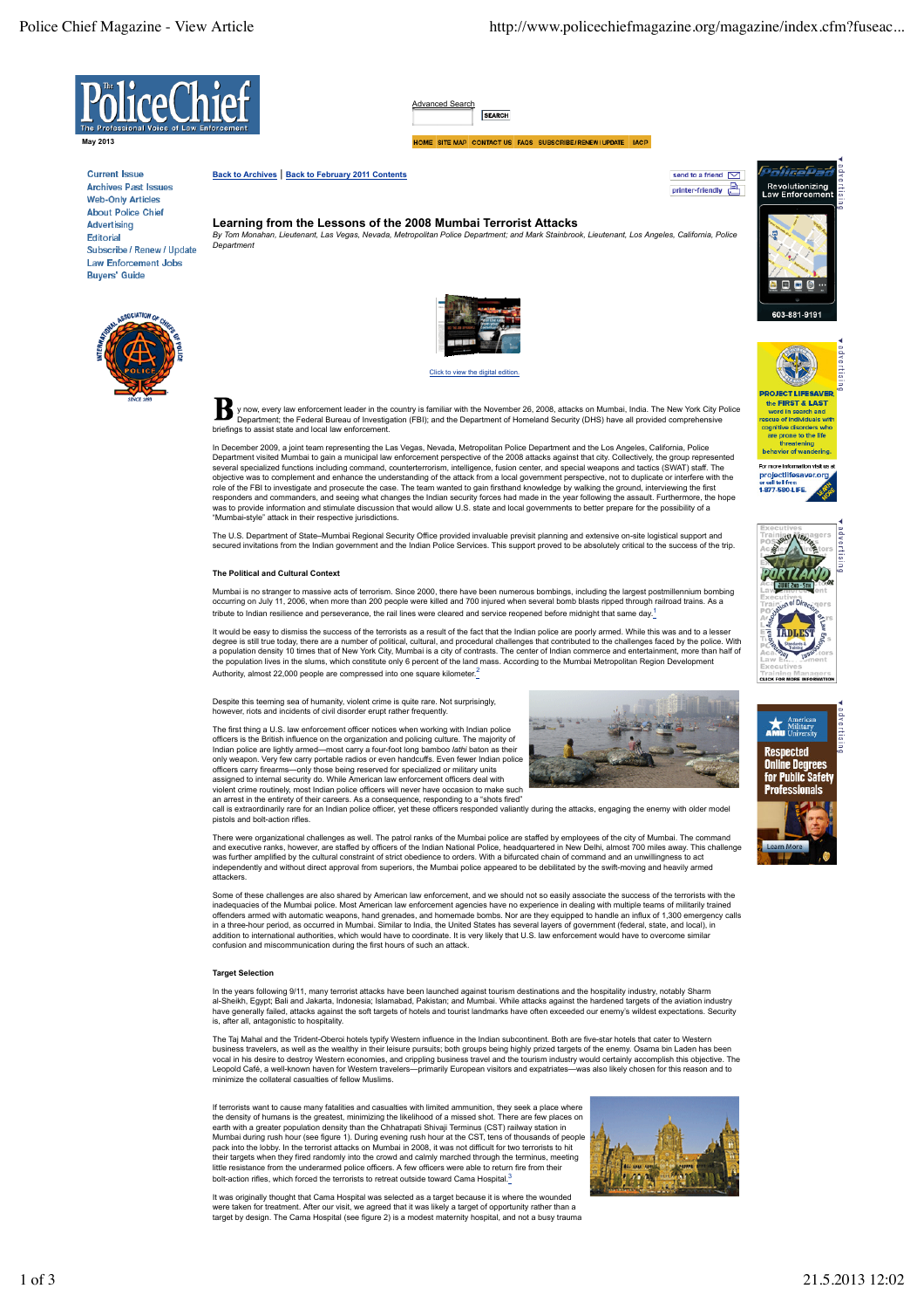send to a friend  $\boxed{\smile}$ 

printer-friendly



**May 2013**

**Current Issue Archives Past Issues Web-Only Articles About Police Chief Advertising** Editorial Subscribe / Renew / Update Law Enforcement Jobs **Buvers' Guide** 



Advanced **SEARCH** 

HOME SITE MAP CONTACT US FAQS SUBSCRIBE/RENEW/UPDATE IACP

**Back to Archives** | **Back to February 2011 Contents**

**Learning from the Lessons of the 2008 Mumbai Terrorist Attacks**<br>By Tom Monahan, Lieutenant, Las Vegas, Nevada, Metropolitan Police Department: and Mark Stainbrook, Lieutenant, Los Angeles, California, Police *By Tom Monahan, Lieutenant, Las Vegas, Nevada, Metropolitan Police Department; and Mark Stainbrook, Lieutenant, Los Angeles, California, Police Department*



Click to view the digital

y now, every law enforcement leader in the country is familiar with the November 26, 2008, attacks on Mumbai, India. The New York City Police Department; the Federal Bureau of Investigation (FBI); and the Department of Homeland Security (DHS) have all provided comprehensive briefings to assist state and local law enforcement.

In December 2009, a joint team representing the Las Vegas, Nevada, Metropolitan Police Department and the Los Angeles, California, Police<br>Department visited Mumbai to gain a municipal law enforcement perspective of the 200 objective was to complement and enhance the understanding of the attack from a local government perspective, not to duplicate or interfere with the<br>role of the FBI to investigate and prosecute the case. The team wanted to was to provide information and stimulate discussion that would allow U.S. state and local governments to better prepare for the possibility of a "Mumbai-style" attack in their respective jurisdictions.

The U.S. Department of State–Mumbai Regional Security Office provided invaluable previsit planning and extensive on-site logistical support and<br>secured invitations from the Indian government and the Indian Police Services.

#### **The Political and Cultural Context**

Mumbai is no stranger to massive acts of terrorism. Since 2000, there have been numerous bombings, including the largest postmillennium bombing occurring on July 11, 2006, when more than 200 people were killed and 700 injured when several bomb blasts ripped through railroad trains. As a tribute to Indian resilience and perseverance, the rail lines were cleared and service reopened before midnight that same day.

It would be easy to dismiss the success of the terrorists as a result of the fact that the Indian police are poorly armed. While this was and to a lesser<br>degree is still true today, there are a number of political, cultura the population lives in the slums, which constitute only 6 percent of the land mass. According to the Mumbai Metropolitan Region Development Authority, almost 22,000 people are compressed into one square kilometer.<sup>2</sup>

Despite this teeming sea of humanity, violent crime is quite rare. Not surprisingly, however, riots and incidents of civil disorder erupt rather frequently.

The first thing a U.S. law enforcement officer notices when working with Indian police officers is the British influence on the organization and policing culture. The majority of<br>Indian police are lightly armed—most carry a four-foot long bamboo *lathi* baton as their<br>only weapon. Very few carry portable rad officers carry firearms—only those being reserved for specialized or military units<br>assigned to internal security do. While American law enforcement officers deal with<br>violent crime routinely, most Indian police officers w

call is extraordinarily rare for an Indian police officer, yet these officers responded valiantly during the attacks, engaging the enemy with older model pistols and bolt-action rifles.

There were organizational challenges as well. The patrol ranks of the Mumbai police are staffed by employees of the city of Mumbai. The command and executive ranks, however, are staffed by officers of the Indian National Police, headquartered in New Delhi, almost 700 miles away. This challenge was further amplified by the cultural constraint of strict obedience to orders. With a bifurcated chain of command and an unwillingness to act independently and without direct approval from superiors, the Mumbai police appeared to be debilitated by the swift-moving and heavily armed attackers.

Some of these challenges are also shared by American law enforcement, and we should not so easily associate the success of the terrorists with the<br>inadequacies of the Mumbai police. Most American law enforcement agencies h offenders armed with automatic weapons, hand grenades, and homemade bombs. Nor are they equipped to handle an influx of 1,300 emergency calls<br>in a three-hour period, as occurred in Mumbai. Similar to India, the United Stat addition to international authorities, which would have to coordinate. It is very likely that U.S. law enforcement would have to overcome similar confusion and miscommunication during the first hours of such an attack.

### **Target Selection**

In the years following 9/11, many terrorist attacks have been launched against tourism destinations and the hospitality industry, notably Sharm al-Sheikh, Egypt; Bali and Jakarta, Indonesia; Islamabad, Pakistan; and Mumbai. While attacks against the hardened targets of the aviation industry<br>have generally failed, attacks against the soft targets of hotels and tour is, after all, antagonistic to hospitality.

The Taj Mahal and the Trident-Oberoi hotels typify Western influence in the Indian subcontinent. Both are five-star hotels that cater to Western business travelers, as well as the wealthy in their leisure pursuits; both groups being highly prized targets of the enemy. Osama bin Laden has been<br>vocal in his desire to destroy Western economies, and crippling business Leopold Café, a well-known haven for Western travelers—primarily European visitors and expatriates—was also likely chosen for this reason and to minimize the collateral casualties of fellow Muslims.

If terrorists want to cause many fatalities and casualties with limited ammunition, they seek a place where the density of humans is the greatest, minimizing the likelihood of a missed shot. There are few places on earth with a greater population density than the Chhatrapati Shivaji Terminus (CST) railway station in Mumbai during rush hour (see figure 1). During evening rush hour at the CST, tens of thousands of people<br>pack into the lobby. In the terrorist attacks on Mumbai in 2008, it was not difficult for two terrorists to hit<br>their little resistance from the underarmed police officers. A few officers were able to return fire from their bolt-action rifles, which forced the terrorists to retreat outside toward Cama Hospital.<sup>3</sup>

It was originally thought that Cama Hospital was selected as a target because it is where the wounded<br>were taken for treatment. After our visit, we agreed that it was likely a target of opportunity rather than a<br>target by





**ROJECT LIFESAVE** the **FIRST & LAST** 

ialiaaba

Revolutionizing<br>Law Enforcemen

 $\bullet$  $\blacksquare$ 



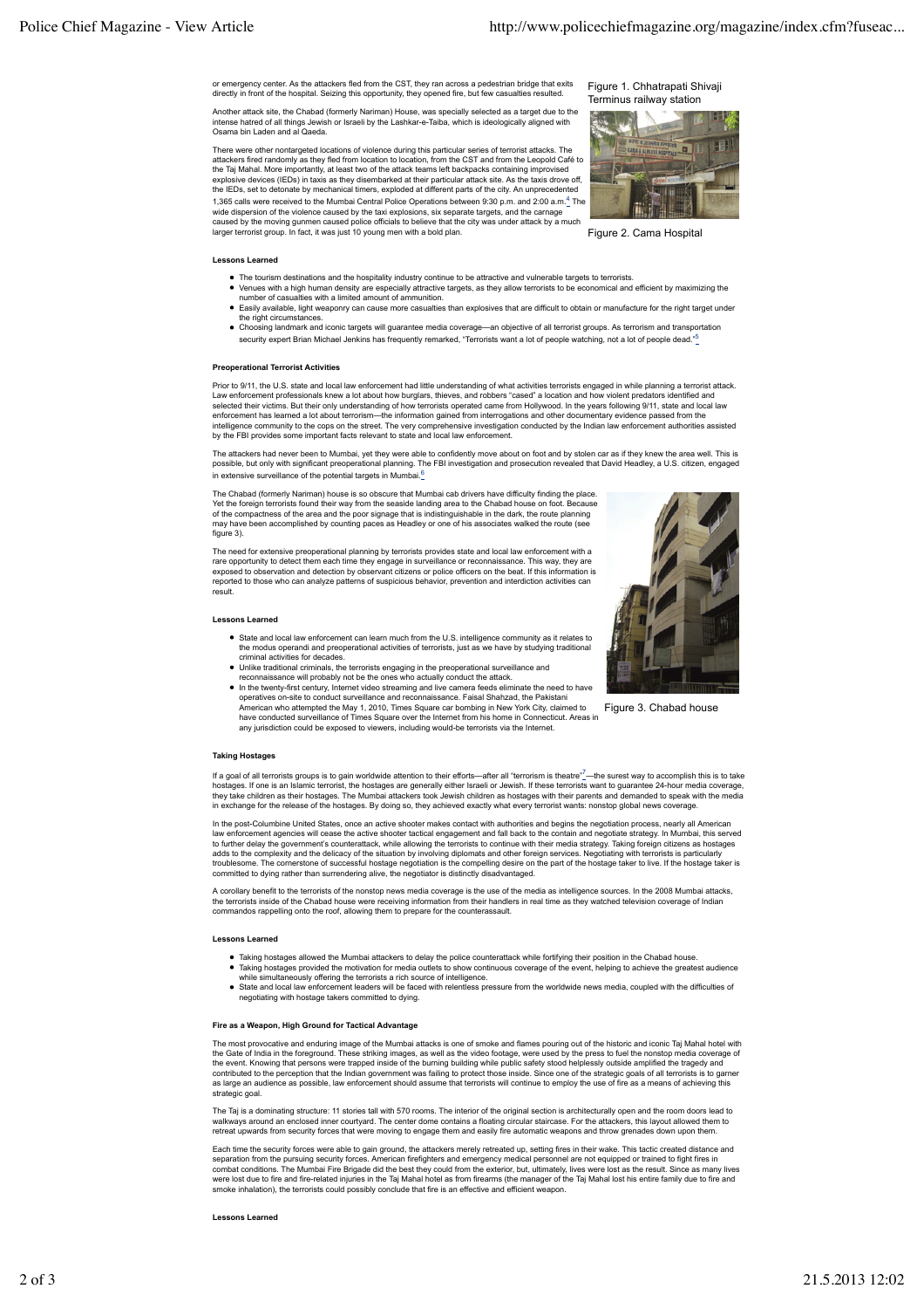or emergency center. As the attackers fled from the CST, they ran across a pedestrian bridge that exits directly in front of the hospital. Seizing this opportunity, they opened fire, but few casualties resulted.

Another attack site, the Chabad (formerly Nariman) House, was specially selected as a target due to the intense hatred of all things Jewish or Israeli by the Lashkar-e-Taiba, which is ideologically aligned with Osama bin Laden and al Qaeda.

There were other nontargeted locations of violence during this particular series of terrorist attacks. The attackers fired randomly as they fled from location to location, from the CST and from the Leopold Café to<br>the Taj Mahal. More importantly, at least two of the attack teams left backpacks containing improvised explosive devices (IEDs) in taxis as they disembarked at their particular attack site. As the taxis drove off, the IEDs, set to detonate by mechanical timers, exploded at different parts of the city. An unprecedented 1,365 calls were received to the Mumbai Central Police Operations between 9:30 p.m. and 2:00 a.m.<sup>4</sup> The

wide dispersion of the violence caused by the taxi explosions, six separate targets, and the carnage<br>caused by the moving gunmen caused police officials to believe that the city was under attack by a much<br>larger terrorist

Figure 1. Chhatrapati Shivaji Terminus railway station



Figure 2. Cama Hospital

### **Lessons Learned**

- 
- The tourism destinations and the hospitality industry continue to be attractive and vulnerable targets to terrorists.<br>Venues with a high human density are especially attractive targets, as they allow terrorists to be econo
- Easily available, light weaponry can cause more casualties than explosives that are difficult to obtain or manufacture for the right target under the right circumstances. Choosing landmark and iconic targets will guarantee media coverage—an objective of all terrorist groups. As terrorism and transportation
- security expert Brian Michael Jenkins has frequently remarked, "Terrorists want a lot of people watching, not a lot of people dead.<sup>55</sup>

## **Preoperational Terrorist Activities**

Prior to 9/11, the U.S. state and local law enforcement had little understanding of what activities terrorists engaged in while planning a terrorist attack Law enforcement professionals knew a lot about how burglars, thieves, and robbers "cased" a location and how violent predators identified and<br>selected their victims. But their only understanding of how terrorists operated intelligence community to the cops on the street. The very comprehensive investigation conducted by the Indian law enforcement authorities assisted<br>by the FBI provides some important facts relevant to state and local law e

The attackers had never been to Mumbai, yet they were able to confidently move about on foot and by stolen car as if they knew the area well. This is<br>possible, but only with significant preoperational planning. The FBI inv in extensive surveillance of the potential targets in Mumbai.<sup>6</sup>

The Chabad (formerly Nariman) house is so obscure that Mumbai cab drivers have difficulty finding the place. Yet the foreign terrorists found their way from the seaside landing area to the Chabad house on foot. Because<br>of the compactness of the area and the poor signage that is indistinguishable in the dark, the route planning<br>ma figure 3).

The need for extensive preoperational planning by terrorists provides state and local law enforcement with a rare opportunity to detect them each time they engage in surveillance or reconnaissance. This way, they are exposed to observation and detection by observant citizens or police officers on the beat. If this information is reported to those who can analyze patterns of suspicious behavior, prevention and interdiction activities can result.

State and local law enforcement can learn much from the U.S. intelligence community as it relates to the modus operandi and preoperational activities of terrorists, just as we have by studying traditional criminal activities for decades. Unlike traditional criminals, the terrorists engaging in the preoperational surveillance and

reconnaissance will probably not be the ones who actually conduct the attack.<br>In the twenty-first century, Internet video streaming and live camera feeds eliminate the need to have<br>operatives on-site to conduct surveillanc American who attempted the May 1, 2010, Times Square car bombing in New York City, claimed to have conducted surveillance of Times Square over the Internet from his home in Connecticut. Areas in any jurisdiction could be exposed to viewers, including would-be terrorists via the Internet.

# **Lessons Learned**



Figure 3. Chabad house

## **Taking Hostages**

lf a goal of all terrorists groups is to gain worldwide attention to their efforts—after all "terrorism is theatre"/—the surest way to accomplish this is to take<br>hostages. If one is an Islamic terrorist, the hostages are g in exchange for the release of the hostages. By doing so, they achieved exactly what every terrorist wants: nonstop global news coverage.

In the post-Columbine United States, once an active shooter makes contact with authorities and begins the negotiation process, nearly all American law enforcement agencies will cease the active shooter tactical engagement and fall back to the contain and negotiate strategy. In Mumbai, this served<br>to further delay the government's counterattack, while allowing the ter adds to the complexity and the delicacy of the situation by involving diplomats and other foreign services. Negotiating with terrorists is particularly<br>troublesome. The cornerstone of successful hostage negotiation is the

A corollary benefit to the terrorists of the nonstop news media coverage is the use of the media as intelligence sources. In the 2008 Mumbai attacks, the terrorists inside of the Chabad house were receiving information from their handlers in real time as they watched television coverage of Indian<br>commandos rappelling onto the roof, allowing them to prepare for the count

#### **Lessons Learned**

- Taking hostages allowed the Mumbai attackers to delay the police counterattack while fortifying their position in the Chabad house. Taking hostages provided the motivation for media outlets to show continuous coverage of the event, helping to achieve the greatest audience while simultaneously offering the terrorists a rich source of intelligence.
- State and local law enforcement leaders will be faced with relentless pressure from the worldwide news media, coupled with the difficulties of negotiating with hostage takers committed to dying.

#### **Fire as a Weapon, High Ground for Tactical Advantage**

The most provocative and enduring image of the Mumbai attacks is one of smoke and flames pouring out of the historic and iconic Taj Mahal hotel with the Gate of India in the foreground. These striking images, as well as the video footage, were used by the press to fuel the nonstop media coverage of the event. Knowing that persons were trapped inside of the burning building while public safety stood helplessly outside amplified the tragedy and<br>contributed to the perception that the Indian government was failing to pro as large an audience as possible, law enforcement should assume that terrorists will continue to employ the use of fire as a means of achieving this strategic goal.

The Taj is a dominating structure: 11 stories tall with 570 rooms. The interior of the original section is architecturally open and the room doors lead to walkways around an enclosed inner courtyard. The center dome contains a floating circular staircase. For the attackers, this layout allowed them to<br>retreat upwards from security forces that were moving to engage them and e

Each time the security forces were able to gain ground, the attackers merely retreated up, setting fires in their wake. This tactic created distance and separation from the pursuing security forces. American firefighters and emergency medical personnel are not equipped or trained to fight fires in<br>combat conditions. The Mumbai Fire Brigade did the best they could from the smoke inhalation), the terrorists could possibly conclude that fire is an effective and efficient weapon.

#### **Lessons Learned**